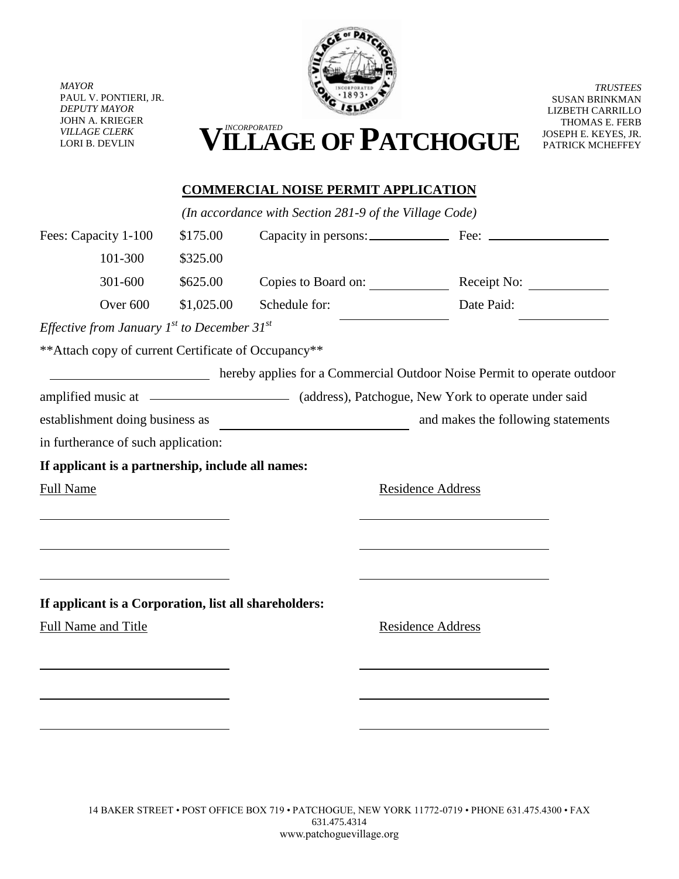

*MAYOR* PAUL V. PONTIERI, JR. *DEPUTY MAYOR* JOHN A. KRIEGER *VILLAGE CLERK*

*TRUSTEES* SUSAN BRINKMAN LIZBETH CARRILLO THOMAS E. FERB JOSEPH E. KEYES, JR. PATRICK MCHEFFEY

## VILLAGE CLERK **VILLAGE CLERK VILLAGE OF PATCHOGUE**

## **COMMERCIAL NOISE PERMIT APPLICATION**

*(In accordance with Section 281-9 of the Village Code)* Fees: Capacity 1-100 \$175.00 Capacity in persons: Fee: Fee: 101-300 \$325.00 301-600 \$625.00 Copies to Board on: Receipt No: 201-600 Over 600 \$1,025.00 Schedule for: Date Paid: *Effective from January 1st to December 31st* \*\*Attach copy of current Certificate of Occupancy\*\* hereby applies for a Commercial Outdoor Noise Permit to operate outdoor amplified music at (address), Patchogue, New York to operate under said establishment doing business as **and makes** the following statements in furtherance of such application: **If applicant is a partnership, include all names:** Full Name Residence Address **If applicant is a Corporation, list all shareholders:** Full Name and Title Residence Address